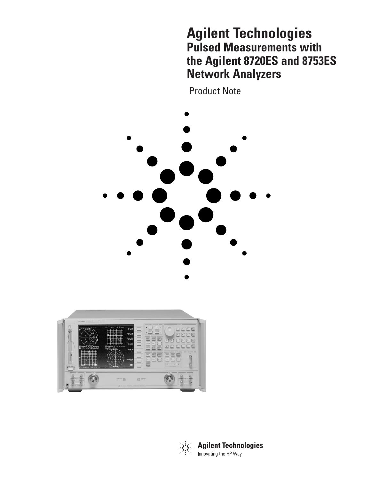# **Agilent Technologies Pulsed Measurements with the Agilent 8720ES and 8753ES Network Analyzers**

Product Note





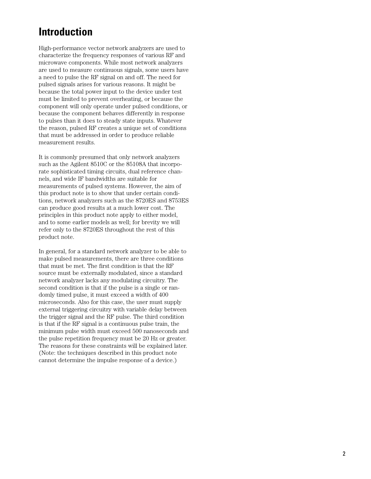## **Introduction**

High-performance vector network analyzers are used to characterize the frequency responses of various RF and microwave components. While most network analyzers are used to measure continuous signals, some users have a need to pulse the RF signal on and off. The need for pulsed signals arises for various reasons. It might be because the total power input to the device under test must be limited to prevent overheating, or because the component will only operate under pulsed conditions, or because the component behaves differently in response to pulses than it does to steady state inputs. Whatever the reason, pulsed RF creates a unique set of conditions that must be addressed in order to produce reliable measurement results.

It is commonly presumed that only network analyzers such as the Agilent 8510C or the 85108A that incorporate sophisticated timing circuits, dual reference channels, and wide IF bandwidths are suitable for measurements of pulsed systems. However, the aim of this product note is to show that under certain conditions, network analyzers such as the 8720ES and 8753ES can produce good results at a much lower cost. The principles in this product note apply to either model, and to some earlier models as well; for brevity we will refer only to the 8720ES throughout the rest of this product note.

In general, for a standard network analyzer to be able to make pulsed measurements, there are three conditions that must be met. The first condition is that the RF source must be externally modulated, since a standard network analyzer lacks any modulating circuitry. The second condition is that if the pulse is a single or randomly timed pulse, it must exceed a width of 400 microseconds. Also for this case, the user must supply external triggering circuitry with variable delay between the trigger signal and the RF pulse. The third condition is that if the RF signal is a continuous pulse train, the minimum pulse width must exceed 500 nanoseconds and the pulse repetition frequency must be 20 Hz or greater. The reasons for these constraints will be explained later. (Note: the techniques described in this product note cannot determine the impulse response of a device.)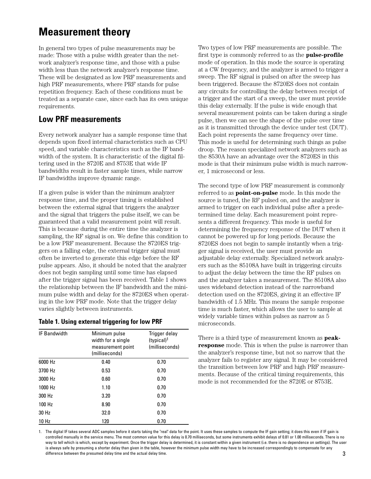## **Measurement theory**

In general two types of pulse measurements may be made: Those with a pulse width greater than the network analyzer's response time, and those with a pulse width less than the network analyzer's response time. These will be designated as low PRF measurements and high PRF measurements, where PRF stands for pulse repetition frequency. Each of these conditions must be treated as a separate case, since each has its own unique requirements.

### **Low PRF measurements**

Every network analyzer has a sample response time that depends upon fixed internal characteristics such as CPU speed, and variable characteristics such as the IF bandwidth of the system. It is characteristic of the digital filtering used in the 8720E and 8753E that wide IF bandwidths result in faster sample times, while narrow IF bandwidths improve dynamic range.

If a given pulse is wider than the minimum analyzer response time, and the proper timing is established between the external signal that triggers the analyzer and the signal that triggers the pulse itself, we can be guaranteed that a valid measurement point will result. This is because during the entire time the analyzer is sampling, the RF signal is on. We define this condition to be a low PRF measurement. Because the 8720ES triggers on a falling edge, the external trigger signal must often be inverted to generate this edge before the RF pulse appears. Also, it should be noted that the analyzer does not begin sampling until some time has elapsed after the trigger signal has been received. Table 1 shows the relationship between the IF bandwidth and the minimum pulse width and delay for the 8720ES when operating in the low PRF mode. Note that the trigger delay varies slightly between instruments.

#### **Table 1. Using external triggering for low PRF**

| <b>IF Bandwidth</b> | Minimum pulse<br>width for a single<br>measurement point<br>(milliseconds) | Trigger delay<br>(typical) <sup>1</sup><br>(milliseconds) |
|---------------------|----------------------------------------------------------------------------|-----------------------------------------------------------|
| 6000 Hz             | 0.40                                                                       | 0.70                                                      |
| 3700 Hz             | 0.53                                                                       | 0.70                                                      |
| 3000 Hz             | 0.60                                                                       | 0.70                                                      |
| 1000 Hz             | 1.10                                                                       | 0.70                                                      |
| 300 Hz              | 3.20                                                                       | 0.70                                                      |
| 100 Hz              | 8.90                                                                       | 0.70                                                      |
| 30 Hz               | 32.0                                                                       | 0.70                                                      |
| 10 Hz               | 120                                                                        | 0.70                                                      |

Two types of low PRF measurements are possible. The first type is commonly referred to as the **pulse-profile** mode of operation. In this mode the source is operating at a CW frequency, and the analyzer is armed to trigger a sweep. The RF signal is pulsed on after the sweep has been triggered. Because the 8720ES does not contain any circuits for controlling the delay between receipt of a trigger and the start of a sweep, the user must provide this delay externally. If the pulse is wide enough that several measurement points can be taken during a single pulse, then we can see the shape of the pulse over time as it is transmitted through the device under test (DUT). Each point represents the same frequency over time. This mode is useful for determining such things as pulse droop. The reason specialized network analyzers such as the 8530A have an advantage over the 8720ES in this mode is that their minimum pulse width is much narrower, 1 microsecond or less.

The second type of low PRF measurement is commonly referred to as **point-on-pulse** mode. In this mode the source is tuned, the RF pulsed on, and the analyzer is armed to trigger on each individual pulse after a predetermined time delay. Each measurement point represents a different frequency. This mode is useful for determining the frequency response of the DUT when it cannot be powered up for long periods. Because the 8720ES does not begin to sample instantly when a trigger signal is received, the user must provide an adjustable delay externally. Specialized network analyzers such as the 85108A have built in triggering circuits to adjust the delay between the time the RF pulses on and the analyzer takes a measurement. The 85108A also uses wideband detection instead of the narrowband detection used on the 8720ES, giving it an effective IF bandwidth of 1.5 MHz. This means the sample response time is much faster, which allows the user to sample at widely variable times within pulses as narrow as 5 microseconds.

There is a third type of measurement known as **peakresponse** mode. This is when the pulse is narrower than the analyzer's response time, but not so narrow that the analyzer fails to register any signal. It may be considered the transition between low PRF and high PRF measurements. Because of the critical timing requirements, this mode is not recommended for the 8720E or 8753E.

3 1. The digital IF takes several ADC samples before it starts taking the "real" data for the point. It uses these samples to compute the IF gain setting; it does this even if IF gain is controlled manually in the service menu. The most common value for this delay is 0.70 milliseconds, but some instruments exhibit delays of 0.81 or 1.00 milliseconds. There is no way to tell which is which, except by experiment. Once the trigger delay is determined, it is constant within a given instrument (i.e. there is no dependence on settings). The user is always safe by presuming a shorter delay than given in the table, however the minimum pulse width may have to be increased correspondingly to compensate for any difference between the presumed delay time and the actual delay time.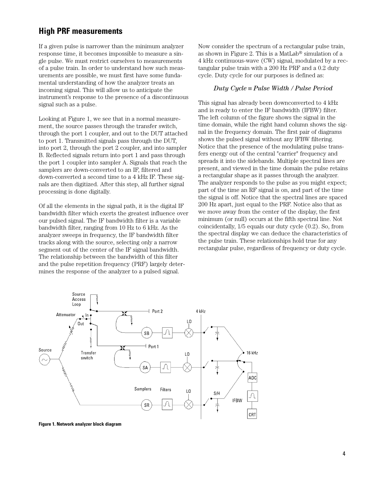## **High PRF measurements**

If a given pulse is narrower than the minimum analyzer response time, it becomes impossible to measure a single pulse. We must restrict ourselves to measurements of a pulse train. In order to understand how such measurements are possible, we must first have some fundamental understanding of how the analyzer treats an incoming signal. This will allow us to anticipate the instrument's response to the presence of a discontinuous signal such as a pulse.

Looking at Figure 1, we see that in a normal measurement, the source passes through the transfer switch, through the port 1 coupler, and out to the DUT attached to port 1. Transmitted signals pass through the DUT, into port 2, through the port 2 coupler, and into sampler B. Reflected signals return into port 1 and pass through the port 1 coupler into sampler A. Signals that reach the samplers are down-converted to an IF, filtered and down-converted a second time to a 4 kHz IF. These signals are then digitized. After this step, all further signal processing is done digitally.

Of all the elements in the signal path, it is the digital IF bandwidth filter which exerts the greatest influence over our pulsed signal. The IF bandwidth filter is a variable bandwidth filter, ranging from 10 Hz to 6 kHz. As the analyzer sweeps in frequency, the IF bandwidth filter tracks along with the source, selecting only a narrow segment out of the center of the IF signal bandwidth. The relationship between the bandwidth of this filter and the pulse repetition frequency (PRF) largely determines the response of the analyzer to a pulsed signal.

Now consider the spectrum of a rectangular pulse train, as shown in Figure 2. This is a MatLab® simulation of a 4 kHz continuous-wave (CW) signal, modulated by a rectangular pulse train with a 200 Hz PRF and a 0.2 duty cycle. Duty cycle for our purposes is defined as:

#### *Duty Cycle* ≡ *Pulse Width / Pulse Period*

This signal has already been downconverted to 4 kHz and is ready to enter the IF bandwidth (IFBW) filter. The left column of the figure shows the signal in the time domain, while the right hand column shows the signal in the frequency domain. The first pair of diagrams shows the pulsed signal without any IFBW filtering. Notice that the presence of the modulating pulse transfers energy out of the central "carrier" frequency and spreads it into the sidebands. Multiple spectral lines are present, and viewed in the time domain the pulse retains a rectangular shape as it passes through the analyzer. The analyzer responds to the pulse as you might expect; part of the time an RF signal is on, and part of the time the signal is off. Notice that the spectral lines are spaced 200 Hz apart, just equal to the PRF. Notice also that as we move away from the center of the display, the first minimum (or null) occurs at the fifth spectral line. Not coincidentally, 1/5 equals our duty cycle (0.2). So, from the spectral display we can deduce the characteristics of the pulse train. These relationships hold true for any rectangular pulse, regardless of frequency or duty cycle.



**Figure 1. Network analyzer block diagram**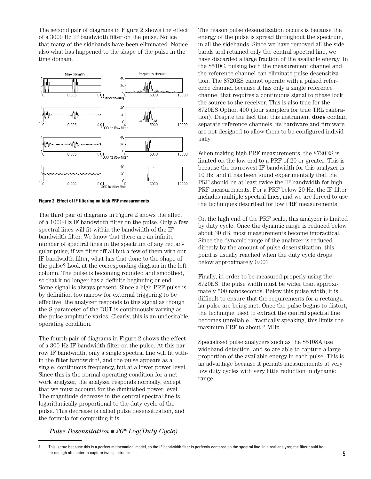The second pair of diagrams in Figure 2 shows the effect of a 3000 Hz IF bandwidth filter on the pulse. Notice that many of the sidebands have been eliminated. Notice also what has happened to the shape of the pulse in the time domain.



**Figure 2. Effect of IF filtering on high PRF measurements**

The third pair of diagrams in Figure 2 shows the effect of a 1000-Hz IF bandwidth filter on the pulse. Only a few spectral lines will fit within the bandwidth of the IF bandwidth filter. We know that there are an infinite number of spectral lines in the spectrum of any rectangular pulse; if we filter off all but a few of them with our IF bandwidth filter, what has that done to the shape of the pulse? Look at the corresponding diagram in the left column. The pulse is becoming rounded and smoothed, so that it no longer has a definite beginning or end. Some signal is always present. Since a high PRF pulse is by definition too narrow for external triggering to be effective, the analyzer responds to this signal as though the S-parameter of the DUT is continuously varying as the pulse amplitude varies. Clearly, this is an undesirable operating condition.

The fourth pair of diagrams in Figure 2 shows the effect of a 300-Hz IF bandwidth filter on the pulse. At this narrow IF bandwidth, only a single spectral line will fit within the filter bandwidth1, and the pulse appears as a single, continuous frequency, but at a lower power level. Since this is the normal operating condition for a network analyzer, the analyzer responds normally, except that we must account for the diminished power level. The magnitude decrease in the central spectral line is logarithmically proportional to the duty cycle of the pulse. This decrease is called pulse desensitization, and the formula for computing it is:

The reason pulse desensitization occurs is because the energy of the pulse is spread throughout the spectrum, in all the sidebands. Since we have removed all the sidebands and retained only the central spectral line, we have discarded a large fraction of the available energy. In the 8510C, pulsing both the measurement channel and the reference channel can eliminate pulse desensitization. The 8720ES cannot operate with a pulsed reference channel because it has only a single reference channel that requires a continuous signal to phase lock the source to the receiver. This is also true for the 8720ES Option 400 (four samplers for true TRL calibration). Despite the fact that this instrument **does** contain separate reference channels, its hardware and firmware are not designed to allow them to be configured individually.

When making high PRF measurements, the 8720ES is limited on the low end to a PRF of 20 or greater. This is because the narrowest IF bandwidth for this analyzer is 10 Hz, and it has been found experimentally that the PRF should be at least twice the IF bandwidth for high PRF measurements. For a PRF below 20 Hz, the IF filter includes multiple spectral lines, and we are forced to use the techniques described for low PRF measurements.

On the high end of the PRF scale, this analyzer is limited by duty cycle. Once the dynamic range is reduced below about 30 dB, most measurements become impractical. Since the dynamic range of the analyzer is reduced directly by the amount of pulse desensitization, this point is usually reached when the duty cycle drops below approximately 0.001

Finally, in order to be measured properly using the 8720ES, the pulse width must be wider than approximately 500 nanoseconds. Below this pulse width, it is difficult to ensure that the requirements for a rectangular pulse are being met. Once the pulse begins to distort, the technique used to extract the central spectral line becomes unreliable. Practically speaking, this limits the maximum PRF to about 2 MHz.

Specialized pulse analyzers such as the 85108A use wideband detection, and so are able to capture a large proportion of the available energy in each pulse. This is an advantage because it permits measurements at very low duty cycles with very little reduction in dynamic range.

#### *Pulse Desensitation* ≡ *20\* Log(Duty Cycle)*

<sup>1.</sup> This is true because this is a perfect mathematical model, so the IF bandwidth filter is perfectly centered on the spectral line. In a real analyzer, the filter could be far enough off center to capture two spectral lines.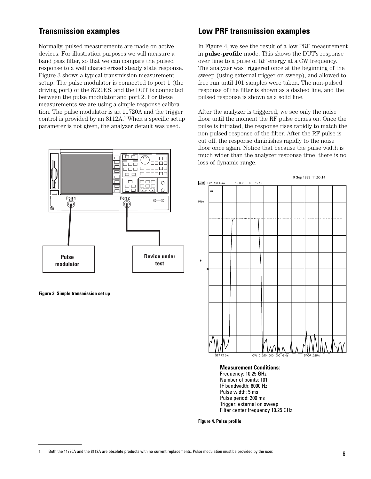## **Transmission examples**

Normally, pulsed measurements are made on active devices. For illustration purposes we will measure a band pass filter, so that we can compare the pulsed response to a well characterized steady state response. Figure 3 shows a typical transmission measurement setup. The pulse modulator is connected to port 1 (the driving port) of the 8720ES, and the DUT is connected between the pulse modulator and port 2. For these measurements we are using a simple response calibration. The pulse modulator is an 11720A and the trigger control is provided by an 8112A.<sup>1</sup> When a specific setup parameter is not given, the analyzer default was used.



**Figure 3. Simple transmission set up**

## **Low PRF transmission examples**

In Figure 4, we see the result of a low PRF measurement in **pulse-profile** mode. This shows the DUT's response over time to a pulse of RF energy at a CW frequency. The analyzer was triggered once at the beginning of the sweep (using external trigger on sweep), and allowed to free run until 101 samples were taken. The non-pulsed response of the filter is shown as a dashed line, and the pulsed response is shown as a solid line.

After the analyzer is triggered, we see only the noise floor until the moment the RF pulse comes on. Once the pulse is initiated, the response rises rapidly to match the non-pulsed response of the filter. After the RF pulse is cut off, the response diminishes rapidly to the noise floor once again. Notice that because the pulse width is much wider than the analyzer response time, there is no loss of dynamic range.



#### **Measurement Conditions:**

Frequency: 10.25 GHz Number of points: 101 IF bandwidth: 6000 Hz Pulse width: 5 ms Pulse period: 200 ms Trigger: external on sweep Filter center frequency 10.25 GHz

**Figure 4. Pulse profile**

<sup>1.</sup> Both the 11720A and the 8112A are obsolete products with no current replacements. Pulse modulation must be provided by the user.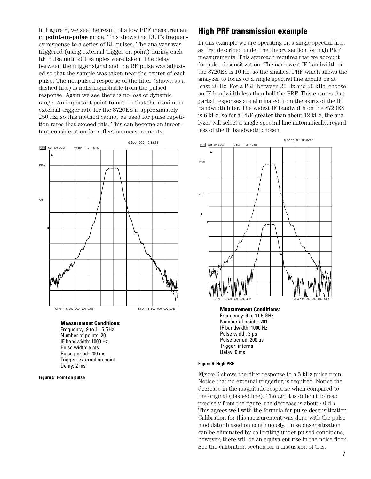In Figure 5, we see the result of a low PRF measurement in **point-on-pulse** mode. This shows the DUT's frequency response to a series of RF pulses. The analyzer was triggered (using external trigger on point) during each RF pulse until 201 samples were taken. The delay between the trigger signal and the RF pulse was adjusted so that the sample was taken near the center of each pulse. The nonpulsed response of the filter (shown as a dashed line) is indistinguishable from the pulsed response. Again we see there is no loss of dynamic range. An important point to note is that the maximum external trigger rate for the 8720ES is approximately 250 Hz, so this method cannot be used for pulse repetition rates that exceed this. This can become an important consideration for reflection measurements.



#### **Measurement Conditions:**

Frequency: 9 to 11.5 GHz Number of points: 201 IF bandwidth: 1000 Hz Pulse width: 5 ms Pulse period: 200 ms Trigger: external on point Delay: 2 ms

**Figure 5. Point on pulse**

## **High PRF transmission example**

In this example we are operating on a single spectral line, as first described under the theory section for high PRF measurements. This approach requires that we account for pulse desensitization. The narrowest IF bandwidth on the 8720ES is 10 Hz, so the smallest PRF which allows the analyzer to focus on a single spectral line should be at least 20 Hz. For a PRF between 20 Hz and 20 kHz, choose an IF bandwidth less than half the PRF. This ensures that partial responses are eliminated from the skirts of the IF bandwidth filter. The widest IF bandwidth on the 8720ES is 6 kHz, so for a PRF greater than about 12 kHz, the analyzer will select a single spectral line automatically, regardless of the IF bandwidth chosen.



**Measurement Conditions:** Frequency: 9 to 11.5 GHz Number of points: 201 IF bandwidth: 1000 Hz Pulse width: 2 µs Pulse period: 200 µs Trigger: internal Delay: 0 ms

#### **Figure 6. High PRF**

Figure 6 shows the filter response to a 5 kHz pulse train. Notice that no external triggering is required. Notice the decrease in the magnitude response when compared to the original (dashed line). Though it is difficult to read precisely from the figure, the decrease is about 40 dB. This agrees well with the formula for pulse desensitization. Calibration for this measurement was done with the pulse modulator biased on continuously. Pulse desensitization can be eliminated by calibrating under pulsed conditions, however, there will be an equivalent rise in the noise floor. See the calibration section for a discussion of this.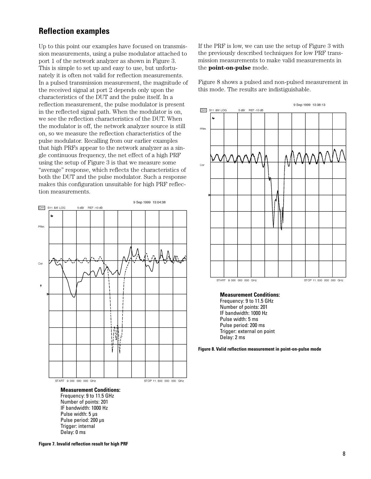## **Reflection examples**

Up to this point our examples have focused on transmission measurements, using a pulse modulator attached to port 1 of the network analyzer as shown in Figure 3. This is simple to set up and easy to use, but unfortunately it is often not valid for reflection measurements. In a pulsed transmission measurement, the magnitude of the received signal at port 2 depends only upon the characteristics of the DUT and the pulse itself. In a reflection measurement, the pulse modulator is present in the reflected signal path. When the modulator is on, we see the reflection characteristics of the DUT. When the modulator is off, the network analyzer source is still on, so we measure the reflection characteristics of the pulse modulator. Recalling from our earlier examples that high PRFs appear to the network analyzer as a single continuous frequency, the net effect of a high PRF using the setup of Figure 3 is that we measure some "average" response, which reflects the characteristics of both the DUT and the pulse modulator. Such a response makes this configuration unsuitable for high PRF reflection measurements.



**Measurement Conditions:**

Frequency: 9 to 11.5 GHz Number of points: 201 IF bandwidth: 1000 Hz Pulse width: 5 µs Pulse period: 200 µs Trigger: internal Delay: 0 ms

If the PRF is low, we can use the setup of Figure 3 with the previously described techniques for low PRF transmission measurements to make valid measurements in the **point-on-pulse** mode.

Figure 8 shows a pulsed and non-pulsed measurement in this mode. The results are indistiguishable.



#### **Measurement Conditions:**

Frequency: 9 to 11.5 GHz Number of points: 201 IF bandwidth: 1000 Hz Pulse width: 5 ms Pulse period: 200 ms Trigger: external on point Delay: 2 ms

**Figure 8. Valid reflection measurement in point-on-pulse mode**

**Figure 7. Invalid reflection result for high PRF**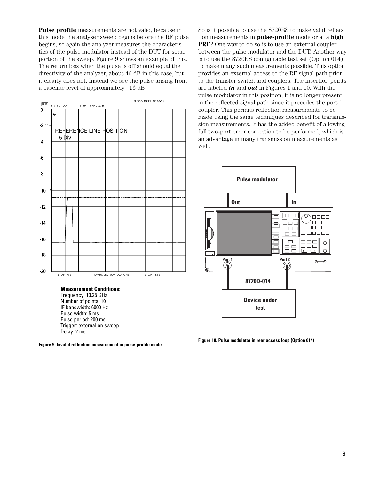**Pulse profile** measurements are not valid, because in this mode the analyzer sweep begins before the RF pulse begins, so again the analyzer measures the characteristics of the pulse modulator instead of the DUT for some portion of the sweep. Figure 9 shows an example of this. The return loss when the pulse is off should equal the directivity of the analyzer, about 46 dB in this case, but it clearly does not. Instead we see the pulse arising from a baseline level of approximately –16 dB



**Measurement Conditions:**

Frequency: 10.25 GHz Number of points: 101 IF bandwidth: 6000 Hz Pulse width: 5 ms Pulse period: 200 ms Trigger: external on sweep Delay: 2 ms

**Figure 9. Invalid reflection measurement in pulse-profile mode**

So is it possible to use the 8720ES to make valid reflection measurements in **pulse-profile** mode or at a **high PRF**? One way to do so is to use an external coupler between the pulse modulator and the DUT. Another way is to use the 8720ES configurable test set (Option 014) to make many such measurements possible. This option provides an external access to the RF signal path prior to the transfer switch and couplers. The insertion points are labeled *in* and *out* in Figures 1 and 10. With the pulse modulator in this position, it is no longer present in the reflected signal path since it precedes the port 1 coupler. This permits reflection measurements to be made using the same techniques described for transmission measurements. It has the added benefit of allowing full two-port error correction to be performed, which is an advantage in many transmission measurements as well.



**Figure 10. Pulse modulator in rear access loop (Option 014)**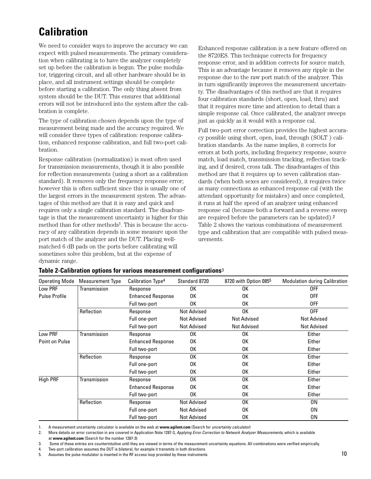# **Calibration**

We need to consider ways to improve the accuracy we can expect with pulsed measurements. The primary consideration when calibrating is to have the analyzer completely set up before the calibration is begun. The pulse modulator, triggering circuit, and all other hardware should be in place, and all instrument settings should be complete before starting a calibration. The only thing absent from system should be the DUT. This ensures that additional errors will not be introduced into the system after the calibration is complete.

The type of calibration chosen depends upon the type of measurement being made and the accuracy required. We will consider three types of calibration: response calibration, enhanced response calibration, and full two-port calibration.

Response calibration (normalization) is most often used for transmission measurements, though it is also possible for reflection measurements (using a short as a calibration standard). It removes only the frequency response error; however this is often sufficient since this is usually one of the largest errors in the measurement system. The advantages of this method are that it is easy and quick and requires only a single calibration standard. The disadvantage is that the measurement uncertainty is higher for this method than for other methods1. This is because the accuracy of any calibration depends in some measure upon the port match of the analyzer and the DUT. Placing wellmatched 6 dB pads on the ports before calibrating will sometimes solve this problem, but at the expense of dynamic range.

Enhanced response calibration is a new feature offered on the 8720ES. This technique corrects for frequency response error, and in addition corrects for source match. This is an advantage because it removes any ripple in the response due to the raw port match of the analyzer. This in turn significantly improves the measurement uncertainty. The disadvantages of this method are that it requires four calibration standards (short, open, load, thru) and that it requires more time and attention to detail than a simple response cal. Once calibrated, the analyzer sweeps just as quickly as it would with a response cal.

Full two-port error correction provides the highest accuracy possible using short, open, load, through (SOLT ) calibration standards. As the name implies, it corrects for errors at both ports, including frequency response, source match, load match, transmission tracking, reflection tracking, and if desired, cross talk. The disadvantages of this method are that it requires up to seven calibration standards (when both sexes are considered), it requires twice as many connections as enhanced response cal (with the attendant opportunity for mistakes) and once completed, it runs at half the speed of an analyzer using enhanced response cal (because both a forward and a reverse sweep are required before the parameters can be updated).<sup>2</sup> Table 2 shows the various combinations of measurement type and calibration that are compatible with pulsed measurements.

| <b>Operating Mode</b> | Measurement Type | Calibration Type <sup>4</sup> | Standard 8720      | 8720 with Option 0855 | <b>Modulation during Calibration</b> |
|-----------------------|------------------|-------------------------------|--------------------|-----------------------|--------------------------------------|
| Low PRF               | Transmission     | Response                      | 0K                 | 0K                    | 0FF                                  |
| <b>Pulse Profile</b>  |                  | <b>Enhanced Response</b>      | 0K                 | 0K                    | 0FF                                  |
|                       |                  | Full two-port                 | 0K                 | 0K                    | <b>OFF</b>                           |
|                       | Reflection       | Response                      | <b>Not Advised</b> | 0K                    | 0FF                                  |
|                       |                  | Full one-port                 | <b>Not Advised</b> | <b>Not Advised</b>    | <b>Not Advised</b>                   |
|                       |                  | Full two-port                 | <b>Not Advised</b> | <b>Not Advised</b>    | <b>Not Advised</b>                   |
| Low PRF               | Transmission     | Response                      | 0K                 | 0K                    | Either                               |
| Point on Pulse        |                  | <b>Enhanced Response</b>      | 0К                 | 0K                    | Either                               |
|                       |                  | Full two-port                 | 0K                 | 0K                    | Either                               |
|                       | Reflection       | Response                      | 0K                 | 0K                    | Either                               |
|                       |                  | Full one-port                 | 0K                 | 0K                    | Either                               |
|                       |                  | Full two-port                 | 0K                 | 0K                    | Either                               |
| <b>High PRF</b>       | Transmission     | Response                      | 0K                 | 0K                    | Either                               |
|                       |                  | <b>Enhanced Response</b>      | 0К                 | 0K                    | Either                               |
|                       |                  | Full two-port                 | 0K                 | 0K                    | Either                               |
|                       | Reflection       | Response                      | <b>Not Advised</b> | 0K                    | 0N                                   |
|                       |                  | Full one-port                 | <b>Not Advised</b> | 0K                    | 0N                                   |
|                       |                  | Full two-port                 | <b>Not Advised</b> | 0K                    | 0N                                   |

#### **Table 2-Calibration options for various measurement configurations**<sup>3</sup>

1. A measurement uncertainty calculator is available on the web at **www.agilent.com** (Search for *uncertainty calculator*)

2. More details on error correction in are covered in Application Note 1287-3, *Applying Error Correction to Network Analyzer Measurements*, which is available at **www.agilent.com** (Search for the number 1287-3)

3. Some of these entries are counterintuitive until they are viewed in terms of the measurement uncertainty equations. All combinations were verified empirically.

4. Two-port calibration assumes the DUT is bilateral, for example it transmits in both directions

5. Assumes the pulse modulator is inserted in the RF access loop provided by these instruments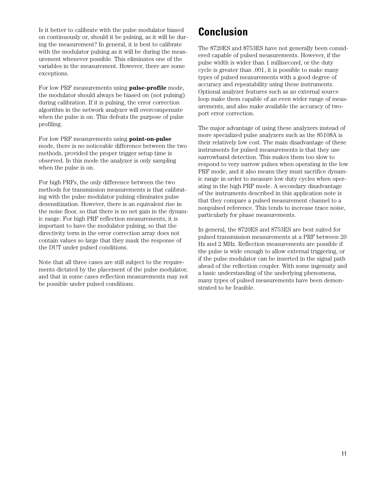Is it better to calibrate with the pulse modulator biased on continuously or, should it be pulsing, as it will be during the measurement? In general, it is best to calibrate with the modulator pulsing as it will be during the measurement whenever possible. This eliminates one of the variables in the measurement. However, there are some exceptions.

For low PRF measurements using **pulse-profile** mode, the modulator should always be biased on (not pulsing) during calibration. If it is pulsing, the error correction algorithm in the network analyzer will overcompensate when the pulse is on. This defeats the purpose of pulse profiling.

For low PRF measurements using **point-on-pulse** mode, there is no noticeable difference between the two methods, provided the proper trigger setup time is observed. In this mode the analyzer is only sampling when the pulse is on.

For high PRFs, the only difference between the two methods for transmission measurements is that calibrating with the pulse modulator pulsing eliminates pulse desensitization. However, there is an equivalent rise in the noise floor, so that there is no net gain in the dynamic range. For high PRF reflection measurements, it is important to have the modulator pulsing, so that the directivity term in the error correction array does not contain values so large that they mask the response of the DUT under pulsed conditions.

Note that all three cases are still subject to the requirements dictated by the placement of the pulse modulator, and that in some cases reflection measurements may not be possible under pulsed conditions.

## **Conclusion**

The 8720ES and 8753ES have not generally been considered capable of pulsed measurements. However, if the pulse width is wider than 1 millisecond, or the duty cycle is greater than .001, it is possible to make many types of pulsed measurements with a good degree of accuracy and repeatability using these instruments. Optional analyzer features such as an external source loop make them capable of an even wider range of measurements, and also make available the accuracy of twoport error correction.

The major advantage of using these analyzers instead of more specialized pulse analyzers such as the 85108A is their relatively low cost. The main disadvantage of these instruments for pulsed measurements is that they use narrowband detection. This makes them too slow to respond to very narrow pulses when operating in the low PRF mode, and it also means they must sacrifice dynamic range in order to measure low duty cycles when operating in the high PRF mode. A secondary disadvantage of the instruments described in this application note is that they compare a pulsed measurement channel to a nonpulsed reference. This tends to increase trace noise, particularly for phase measurements.

In general, the 8720ES and 8753ES are best suited for pulsed transmission measurements at a PRF between 20 Hz and 2 MHz. Reflection measurements are possible if the pulse is wide enough to allow external triggering, or if the pulse modulator can be inserted in the signal path ahead of the reflection coupler. With some ingenuity and a basic understanding of the underlying phenomena, many types of pulsed measurements have been demonstrated to be feasible.